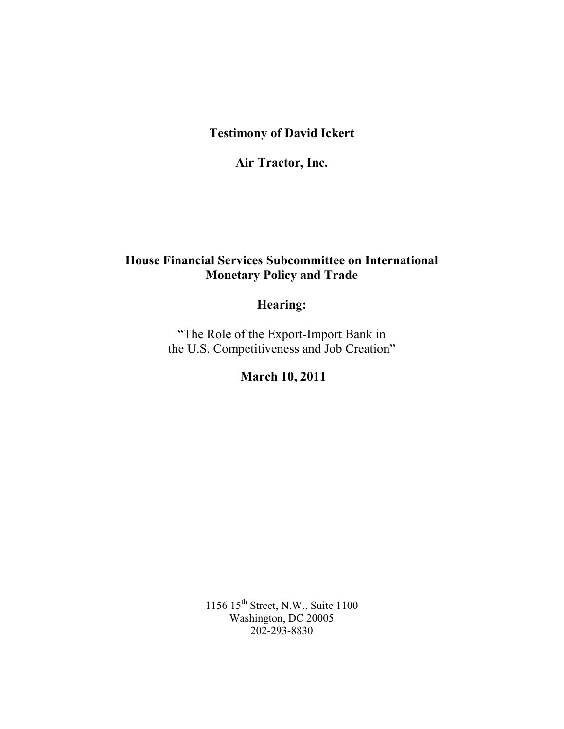## **Testimony of David Ickert**

**Air Tractor, Inc.** 

# **House Financial Services Subcommittee on International Monetary Policy and Trade**

## **Hearing:**

"The Role of the Export-Import Bank in the U.S. Competitiveness and Job Creation"

 **March 10, 2011** 

1156 15<sup>th</sup> Street, N.W., Suite 1100 Washington, DC 20005 202-293-8830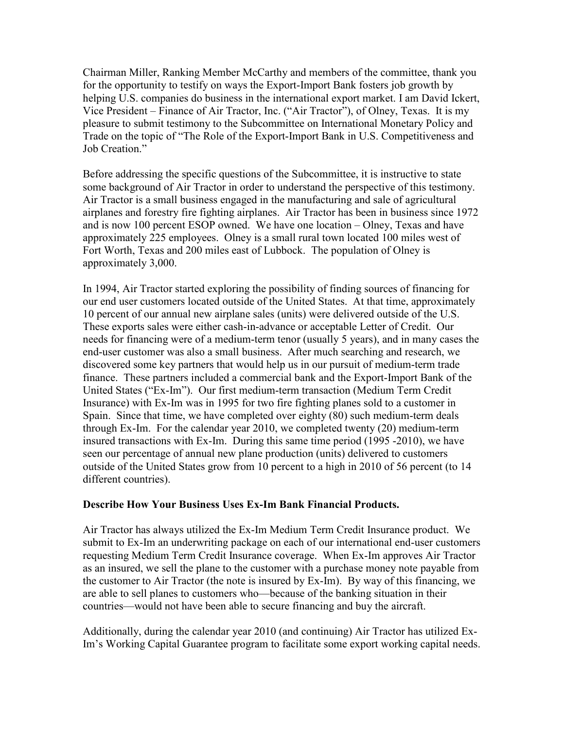Chairman Miller, Ranking Member McCarthy and members of the committee, thank you for the opportunity to testify on ways the Export-Import Bank fosters job growth by helping U.S. companies do business in the international export market. I am David Ickert, Vice President – Finance of Air Tractor, Inc. ("Air Tractor"), of Olney, Texas. It is my pleasure to submit testimony to the Subcommittee on International Monetary Policy and Trade on the topic of "The Role of the Export-Import Bank in U.S. Competitiveness and Job Creation"

Before addressing the specific questions of the Subcommittee, it is instructive to state some background of Air Tractor in order to understand the perspective of this testimony. Air Tractor is a small business engaged in the manufacturing and sale of agricultural airplanes and forestry fire fighting airplanes. Air Tractor has been in business since 1972 and is now 100 percent ESOP owned. We have one location – Olney, Texas and have approximately 225 employees. Olney is a small rural town located 100 miles west of Fort Worth, Texas and 200 miles east of Lubbock. The population of Olney is approximately 3,000.

In 1994, Air Tractor started exploring the possibility of finding sources of financing for our end user customers located outside of the United States. At that time, approximately 10 percent of our annual new airplane sales (units) were delivered outside of the U.S. These exports sales were either cash-in-advance or acceptable Letter of Credit. Our needs for financing were of a medium-term tenor (usually 5 years), and in many cases the end-user customer was also a small business. After much searching and research, we discovered some key partners that would help us in our pursuit of medium-term trade finance. These partners included a commercial bank and the Export-Import Bank of the United States ("Ex-Im"). Our first medium-term transaction (Medium Term Credit Insurance) with Ex-Im was in 1995 for two fire fighting planes sold to a customer in Spain. Since that time, we have completed over eighty (80) such medium-term deals through Ex-Im. For the calendar year 2010, we completed twenty (20) medium-term insured transactions with Ex-Im. During this same time period (1995 -2010), we have seen our percentage of annual new plane production (units) delivered to customers outside of the United States grow from 10 percent to a high in 2010 of 56 percent (to 14 different countries).

## **Describe How Your Business Uses Ex-Im Bank Financial Products.**

Air Tractor has always utilized the Ex-Im Medium Term Credit Insurance product. We submit to Ex-Im an underwriting package on each of our international end-user customers requesting Medium Term Credit Insurance coverage. When Ex-Im approves Air Tractor as an insured, we sell the plane to the customer with a purchase money note payable from the customer to Air Tractor (the note is insured by Ex-Im). By way of this financing, we are able to sell planes to customers who—because of the banking situation in their countries—would not have been able to secure financing and buy the aircraft.

Additionally, during the calendar year 2010 (and continuing) Air Tractor has utilized Ex-Im's Working Capital Guarantee program to facilitate some export working capital needs.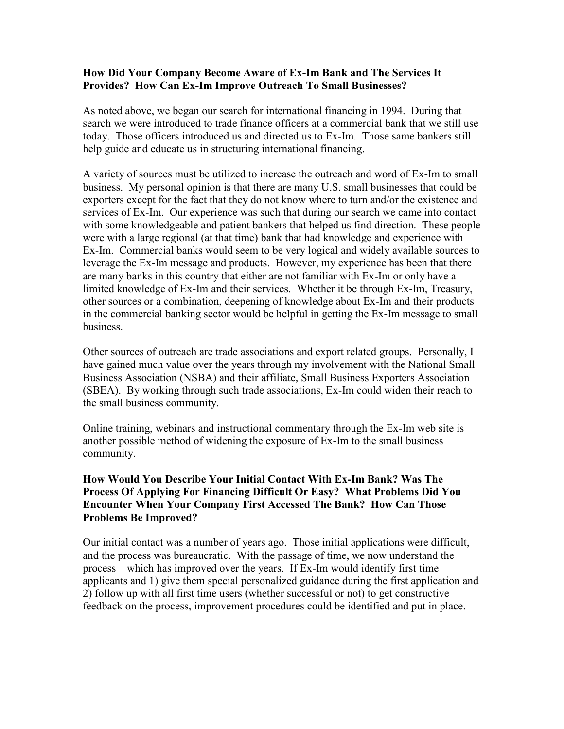#### **How Did Your Company Become Aware of Ex-Im Bank and The Services It Provides? How Can Ex-Im Improve Outreach To Small Businesses?**

As noted above, we began our search for international financing in 1994. During that search we were introduced to trade finance officers at a commercial bank that we still use today. Those officers introduced us and directed us to Ex-Im. Those same bankers still help guide and educate us in structuring international financing.

A variety of sources must be utilized to increase the outreach and word of Ex-Im to small business. My personal opinion is that there are many U.S. small businesses that could be exporters except for the fact that they do not know where to turn and/or the existence and services of Ex-Im. Our experience was such that during our search we came into contact with some knowledgeable and patient bankers that helped us find direction. These people were with a large regional (at that time) bank that had knowledge and experience with Ex-Im. Commercial banks would seem to be very logical and widely available sources to leverage the Ex-Im message and products. However, my experience has been that there are many banks in this country that either are not familiar with Ex-Im or only have a limited knowledge of Ex-Im and their services. Whether it be through Ex-Im, Treasury, other sources or a combination, deepening of knowledge about Ex-Im and their products in the commercial banking sector would be helpful in getting the Ex-Im message to small business.

Other sources of outreach are trade associations and export related groups. Personally, I have gained much value over the years through my involvement with the National Small Business Association (NSBA) and their affiliate, Small Business Exporters Association (SBEA). By working through such trade associations, Ex-Im could widen their reach to the small business community.

Online training, webinars and instructional commentary through the Ex-Im web site is another possible method of widening the exposure of Ex-Im to the small business community.

## **How Would You Describe Your Initial Contact With Ex-Im Bank? Was The Process Of Applying For Financing Difficult Or Easy? What Problems Did You Encounter When Your Company First Accessed The Bank? How Can Those Problems Be Improved?**

Our initial contact was a number of years ago. Those initial applications were difficult, and the process was bureaucratic. With the passage of time, we now understand the process—which has improved over the years. If Ex-Im would identify first time applicants and 1) give them special personalized guidance during the first application and 2) follow up with all first time users (whether successful or not) to get constructive feedback on the process, improvement procedures could be identified and put in place.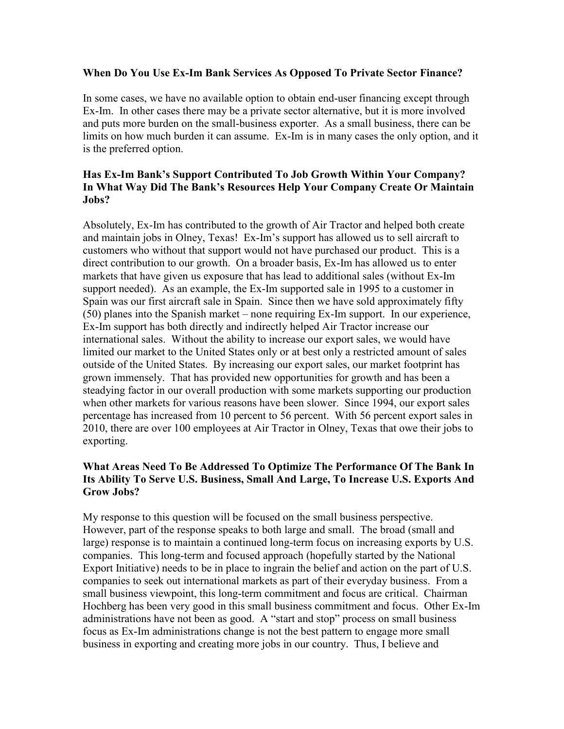#### **When Do You Use Ex-Im Bank Services As Opposed To Private Sector Finance?**

In some cases, we have no available option to obtain end-user financing except through Ex-Im. In other cases there may be a private sector alternative, but it is more involved and puts more burden on the small-business exporter. As a small business, there can be limits on how much burden it can assume. Ex-Im is in many cases the only option, and it is the preferred option.

### **Has Ex-Im Bank's Support Contributed To Job Growth Within Your Company? In What Way Did The Bank's Resources Help Your Company Create Or Maintain Jobs?**

Absolutely, Ex-Im has contributed to the growth of Air Tractor and helped both create and maintain jobs in Olney, Texas! Ex-Im's support has allowed us to sell aircraft to customers who without that support would not have purchased our product. This is a direct contribution to our growth. On a broader basis, Ex-Im has allowed us to enter markets that have given us exposure that has lead to additional sales (without Ex-Im support needed). As an example, the Ex-Im supported sale in 1995 to a customer in Spain was our first aircraft sale in Spain. Since then we have sold approximately fifty (50) planes into the Spanish market – none requiring Ex-Im support. In our experience, Ex-Im support has both directly and indirectly helped Air Tractor increase our international sales. Without the ability to increase our export sales, we would have limited our market to the United States only or at best only a restricted amount of sales outside of the United States. By increasing our export sales, our market footprint has grown immensely. That has provided new opportunities for growth and has been a steadying factor in our overall production with some markets supporting our production when other markets for various reasons have been slower. Since 1994, our export sales percentage has increased from 10 percent to 56 percent. With 56 percent export sales in 2010, there are over 100 employees at Air Tractor in Olney, Texas that owe their jobs to exporting.

## **What Areas Need To Be Addressed To Optimize The Performance Of The Bank In Its Ability To Serve U.S. Business, Small And Large, To Increase U.S. Exports And Grow Jobs?**

My response to this question will be focused on the small business perspective. However, part of the response speaks to both large and small. The broad (small and large) response is to maintain a continued long-term focus on increasing exports by U.S. companies. This long-term and focused approach (hopefully started by the National Export Initiative) needs to be in place to ingrain the belief and action on the part of U.S. companies to seek out international markets as part of their everyday business. From a small business viewpoint, this long-term commitment and focus are critical. Chairman Hochberg has been very good in this small business commitment and focus. Other Ex-Im administrations have not been as good. A "start and stop" process on small business focus as Ex-Im administrations change is not the best pattern to engage more small business in exporting and creating more jobs in our country. Thus, I believe and